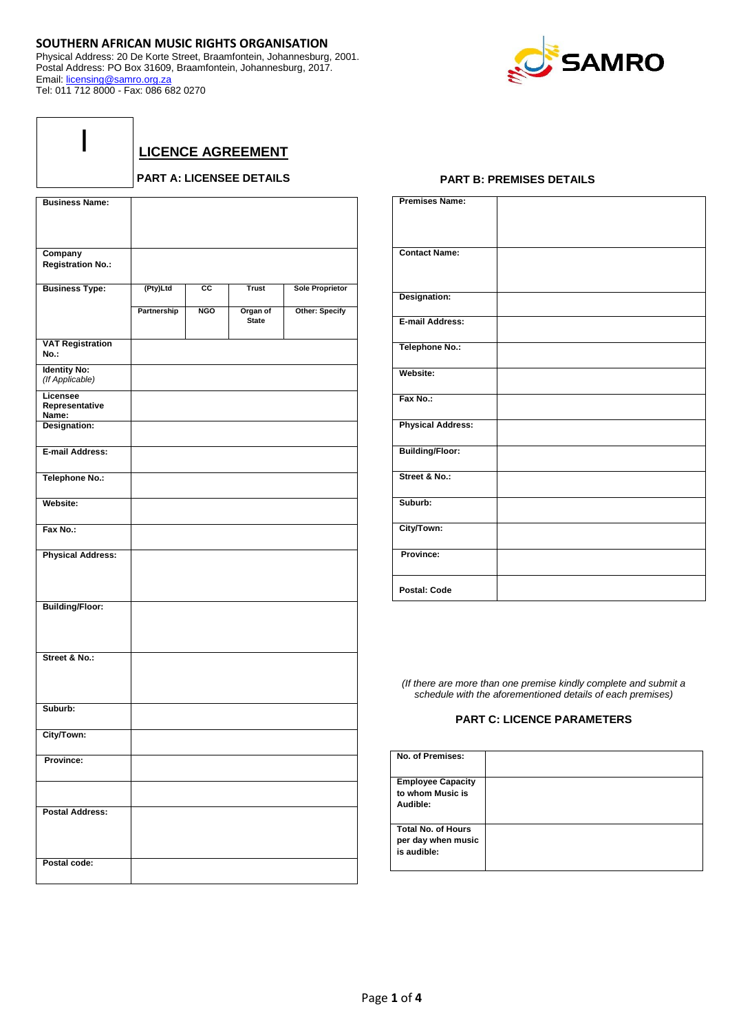## **SOUTHERN AFRICAN MUSIC RIGHTS ORGANISATION**

Physical Address: 20 De Korte Street, Braamfontein, Johannesburg, 2001. Postal Address: PO Box 31609, Braamfontein, Johannesburg, 2017. Email: [licensing@samro.org.za](mailto:licensing@samro.org.za) Tel: 011 712 8000 - Fax: 086 682 0270



|  | $\overline{\mathsf{L}}$ |
|--|-------------------------|
|  | -                       |

**LICENCE AGREEMENT**

## **PART A: LICENSEE DETAILS**

| <b>Business Name:</b>                  |             |            |                          |                        |
|----------------------------------------|-------------|------------|--------------------------|------------------------|
|                                        |             |            |                          |                        |
| Company                                |             |            |                          |                        |
| <b>Registration No.:</b>               |             |            |                          |                        |
| <b>Business Type:</b>                  | (Pty)Ltd    | cc         | <b>Trust</b>             | <b>Sole Proprietor</b> |
|                                        | Partnership | <b>NGO</b> | Organ of<br><b>State</b> | <b>Other: Specify</b>  |
| <b>VAT Registration</b><br>No.:        |             |            |                          |                        |
| <b>Identity No:</b><br>(If Applicable) |             |            |                          |                        |
| Licensee<br>Representative<br>Name:    |             |            |                          |                        |
| Designation:                           |             |            |                          |                        |
| <b>E-mail Address:</b>                 |             |            |                          |                        |
| Telephone No.:                         |             |            |                          |                        |
| Website:                               |             |            |                          |                        |
| Fax No.:                               |             |            |                          |                        |
| <b>Physical Address:</b>               |             |            |                          |                        |
| <b>Building/Floor:</b>                 |             |            |                          |                        |
| Street & No.:                          |             |            |                          |                        |
| Suburb:                                |             |            |                          |                        |
| City/Town:                             |             |            |                          |                        |
| Province:                              |             |            |                          |                        |
|                                        |             |            |                          |                        |
| <b>Postal Address:</b>                 |             |            |                          |                        |
| Postal code:                           |             |            |                          |                        |

## **PART B: PREMISES DETAILS**

| <b>Premises Name:</b>    |  |
|--------------------------|--|
| <b>Contact Name:</b>     |  |
| Designation:             |  |
| E-mail Address:          |  |
| Telephone No.:           |  |
| Website:                 |  |
| Fax No.:                 |  |
| <b>Physical Address:</b> |  |
| <b>Building/Floor:</b>   |  |
| Street & No.:            |  |
| Suburb:                  |  |
| City/Town:               |  |
| Province:                |  |
| Postal: Code             |  |

*(If there are more than one premise kindly complete and submit a schedule with the aforementioned details of each premises)*

## **PART C: LICENCE PARAMETERS**

| No. of Premises:                                               |  |
|----------------------------------------------------------------|--|
| <b>Employee Capacity</b><br>to whom Music is<br>Audible:       |  |
| <b>Total No. of Hours</b><br>per day when music<br>is audible: |  |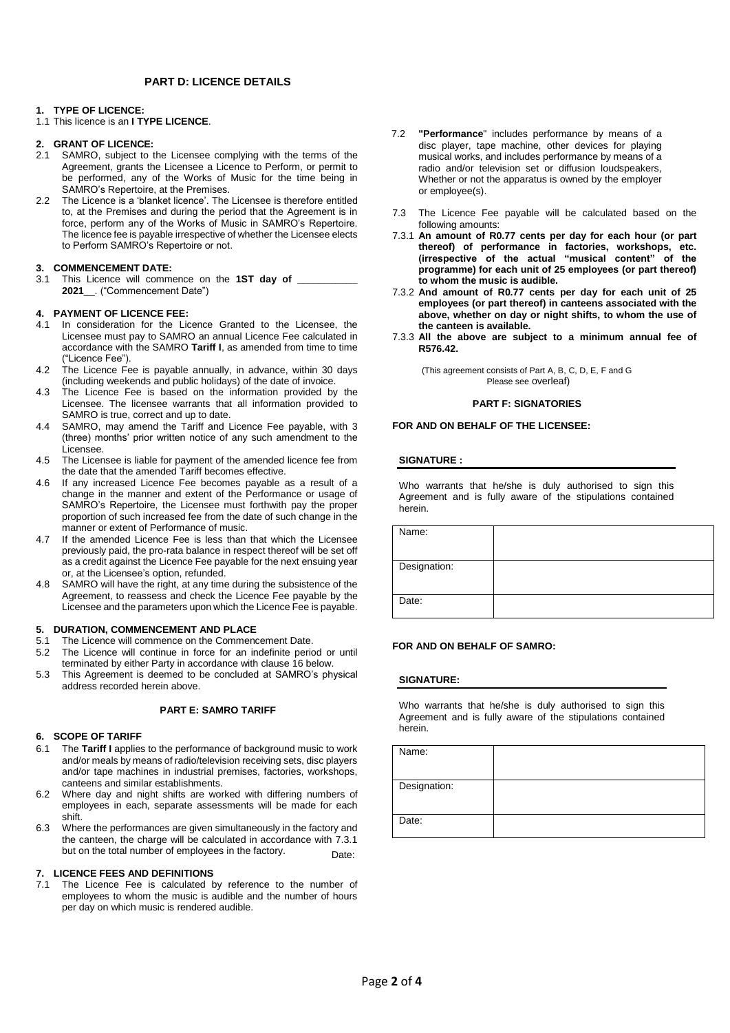## **PART D: LICENCE DETAILS**

## **1. TYPE OF LICENCE:**

## 1.1 This licence is an **I TYPE LICENCE**.

### **2. GRANT OF LICENCE:**

- 2.1 SAMRO, subject to the Licensee complying with the terms of the Agreement, grants the Licensee a Licence to Perform, or permit to be performed, any of the Works of Music for the time being in SAMRO's Repertoire, at the Premises.
- 2.2 The Licence is a 'blanket licence'. The Licensee is therefore entitled to, at the Premises and during the period that the Agreement is in force, perform any of the Works of Music in SAMRO's Repertoire. The licence fee is payable irrespective of whether the Licensee elects to Perform SAMRO's Repertoire or not.

### **3. COMMENCEMENT DATE:**

3.1 This Licence will commence on the **1ST day of \_\_\_\_\_\_\_\_\_\_\_ 2021**\_\_. ("Commencement Date")

### **4. PAYMENT OF LICENCE FEE:**

- 4.1 In consideration for the Licence Granted to the Licensee, the Licensee must pay to SAMRO an annual Licence Fee calculated in accordance with the SAMRO **Tariff I**, as amended from time to time ("Licence Fee").
- 4.2 The Licence Fee is payable annually, in advance, within 30 days (including weekends and public holidays) of the date of invoice.
- 4.3 The Licence Fee is based on the information provided by the Licensee. The licensee warrants that all information provided to SAMRO is true, correct and up to date.
- 4.4 SAMRO, may amend the Tariff and Licence Fee payable, with 3 (three) months' prior written notice of any such amendment to the Licensee.
- 4.5 The Licensee is liable for payment of the amended licence fee from the date that the amended Tariff becomes effective.
- 4.6 If any increased Licence Fee becomes payable as a result of a change in the manner and extent of the Performance or usage of SAMRO's Repertoire, the Licensee must forthwith pay the proper proportion of such increased fee from the date of such change in the manner or extent of Performance of music.
- 4.7 If the amended Licence Fee is less than that which the Licensee previously paid, the pro-rata balance in respect thereof will be set off as a credit against the Licence Fee payable for the next ensuing year or, at the Licensee's option, refunded.
- 4.8 SAMRO will have the right, at any time during the subsistence of the Agreement, to reassess and check the Licence Fee payable by the Licensee and the parameters upon which the Licence Fee is payable.

### **5. DURATION, COMMENCEMENT AND PLACE**

- 5.1 The Licence will commence on the Commencement Date.
- 5.2 The Licence will continue in force for an indefinite period or until terminated by either Party in accordance with clause 16 below.
- 5.3 This Agreement is deemed to be concluded at SAMRO's physical address recorded herein above.

### **PART E: SAMRO TARIFF**

### **6. SCOPE OF TARIFF**

- 6.1 The **Tariff I** applies to the performance of background music to work and/or meals by means of radio/television receiving sets, disc players and/or tape machines in industrial premises, factories, workshops, canteens and similar establishments.
- 6.2 Where day and night shifts are worked with differing numbers of employees in each, separate assessments will be made for each shift.
- 6.3 Where the performances are given simultaneously in the factory and the canteen, the charge will be calculated in accordance with 7.3.1 but on the total number of employees in the factory. Date:

### **7. LICENCE FEES AND DEFINITIONS**

7.1 The Licence Fee is calculated by reference to the number of employees to whom the music is audible and the number of hours per day on which music is rendered audible.

- 7.2 **"Performance**" includes performance by means of a disc player, tape machine, other devices for playing musical works, and includes performance by means of a radio and/or television set or diffusion loudspeakers, Whether or not the apparatus is owned by the employer or employee(s).
- 7.3 The Licence Fee payable will be calculated based on the following amounts:
- 7.3.1 **An amount of R0.77 cents per day for each hour (or part thereof) of performance in factories, workshops, etc. (irrespective of the actual "musical content" of the programme) for each unit of 25 employees (or part thereof) to whom the music is audible.**
- 7.3.2 **And amount of R0.77 cents per day for each unit of 25 employees (or part thereof) in canteens associated with the above, whether on day or night shifts, to whom the use of the canteen is available.**
- 7.3.3 **All the above are subject to a minimum annual fee of R576.42.**

(This agreement consists of Part A, B, C, D, E, F and G Please see overleaf)

### **PART F: SIGNATORIES**

## **FOR AND ON BEHALF OF THE LICENSEE:**

### **SIGNATURE :**

Who warrants that he/she is duly authorised to sign this Agreement and is fully aware of the stipulations contained herein.

| Name:        |  |
|--------------|--|
|              |  |
| Designation: |  |
|              |  |
| Date:        |  |
|              |  |

### **FOR AND ON BEHALF OF SAMRO:**

### **SIGNATURE:**

Who warrants that he/she is duly authorised to sign this Agreement and is fully aware of the stipulations contained herein.

| Name:        |  |
|--------------|--|
|              |  |
| Designation: |  |
| Date:        |  |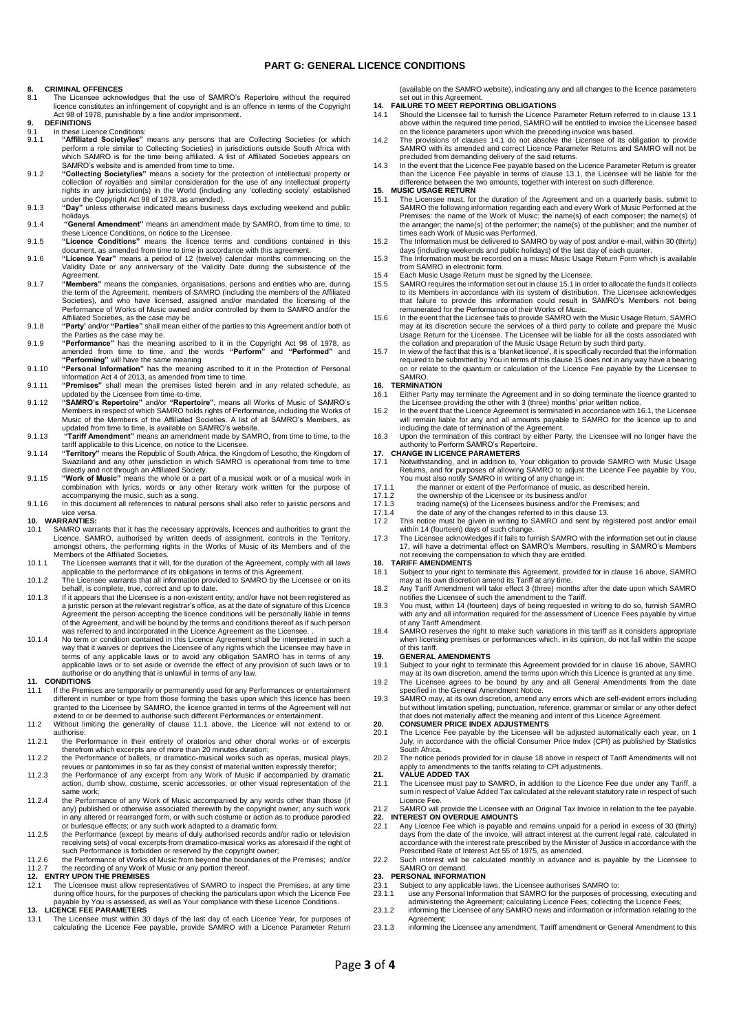### **PART G: GENERAL LICENCE CONDITIONS**

# **8. CRIMINAL OFFENCES**<br>8.1 The Licensee acknow

- The Licensee acknowledges that the use of SAMRO's Repertoire without the required licence constitutes an infringement of copyright and is an offence in terms of the Copyright Act 98 of 1978, punishable by a fine and/or imprisonment.
- **9. DEFINITIONS**<br>9.1 **In these Lice**
- 9.1 In these Licence Conditions:<br>9.1. "Affiliated Society/ies" 9.1.1 **"Affiliated Society/ies"** means any persons that are Collecting Societies (or which perform a role similar to Collecting Societies) in jurisdictions outside South Africa with which SAMRO is for the time being affiliated. A list of Affiliated Societies appears on SAMRO's website and is amended from time to time.
- 9.1.2 "Collecting Society/les" means a society for the protection of intellectual property or<br>collection of royalties and similar consideration for the use of any intellectual property<br>rights in any jurisdiction(s) in the under the Copyright Act 98 of 1978, as amended).
- 9.1.3 **"Day"** unless otherwise indicated means business days excluding weekend and public
- holidays. 9.1.4 **"General Amendment"** means an amendment made by SAMRO, from time to time, to
- these Licence Conditions, on notice to the Licensee. 9.1.5 **"Licence Conditions"** means the licence terms and conditions contained in this
- document, as amended from time to time in accordance with this agreement. 9.1.6 **"Licence Year"** means a period of 12 (twelve) calendar months commencing on the Validity Date or any anniversary of the Validity Date during the subsistence of the Agreement.
- 9.1.7 **"Members"** means the companies, organisations, persons and entities who are, during the term of the Agreement, members of SAMRO (including the members of the Affiliated Societies), and who have licensed, assigned and/or mandated the licensing of the Performance of Works of Music owned and/or controlled by them to SAMRO and/or the Affiliated Societies, as the case may be.
- 9.1.8 **"Party'** and/or **"Parties"** shall mean either of the parties to this Agreement and/or both of the Parties as the case may be.
- 9.1.9 **"Performance"** has the meaning ascribed to it in the Copyright Act 98 of 1978, as amended from time to time, and the words **"Perform"** and **"Performed"** and **"Performing"** will have the same meaning
- 9.1.10 **"Personal Information"** has the meaning ascribed to it in the Protection of Personal Information Act 4 of 2013, as amended from time to time. 9.1.11 **"Premises"** shall mean the premises listed herein and in any related schedule, as
- 
- updated by the Licensee from time-to-time.<br>9.1.12 "SAMRO's Repertoire" and/or "Repertoire", means all Works of Music of SAMRO's<br>Members in respect of which SAMRO holds rights of Performance, including the Works of<br>Music of
- 9.1.13 **"Tariff Amendment"** means an amendment made by SAMRO, from time to time, to the tariff applicable to this Licence, on notice to the Licensee.
- 9.1.14 **"Territory"** means the Republic of South Africa, the Kingdom of Lesotho, the Kingdom of Swaziland and any other jurisdiction in which SAMRO is operational from time to time directly and not through an Affiliated Society. 9.1.15 **"Work of Music"** means the whole or a part of a musical work or of a musical work in
- combination with lyrics, words or any other literary work written for the purpose of accompanying the music, such as a song.
- 9.1.16 In this document all references to natural persons shall also refer to juristic persons and vice versa. **10. WARRANTIES:**

- 10.1 SAMRO warrants that it has the necessary approvals, licences and authorities to grant the Licence. SAMRO, authorised by written deeds of assignment, controls in the Territory, amongst others, the performing rights in
- 10.1.1 The Licensee warrants that it will, for the duration of the Agreement, comply with all laws applicable to the performance of its obligations in terms of this Agreement.
- 10.1.2 The Licensee warrants that all information provided to SAMRO by the Licensee or on its behalf, is complete, true, correct and up to date. 10.1.3 If it appears that the Licensee is a non-existent entity, and/or have not been registered as
- a juristic person at the relevant registrar's office, as at the date of signature of this Licence Agreement the person accepting the licence conditions will be personally liable in terms<br>of the Agreement, and will be bound by the terms and conditions thereof as if such person<br>was referred to and incorporated in the Lic
- 10.1.4 No term or condition contained in this Licence Agreement shall be interpreted in such a way that it waives or deprives the Licensee of any rights which the Licensee may have in terms of any applicable laws or to avoid any obligation SAMRO has in terms of any applicable laws or to set aside or override the effect of any provision of such laws or to authorise or do anything that is unlawful in terms of any law.

### **11. CONDITIONS**

- 11.1 If the Premises are temporarily or permanently used for any Performances or entertainment different in number or type from those forming the basis upon which this licence has been granted to the Licensee by SAMRO, the licence granted in terms of the Agreement will not extend to or be deemed to authorise such different Performances or entertainment.
- 11.2 Without limiting the generality of clause 11.1 above, the Licence will not extend to or authorise:
- 11.2.1 the Performance in their entirety of oratorios and other choral works or of excerpts
- therefrom which excerpts are of more than 20 minutes duration; 11.2.2 the Performance of ballets, or dramatico-musical works such as operas, musical plays,
- revues or pantomimes in so far as they consist of material written expressly therefor; 11.2.3 the Performance of any excerpt from any Work of Music if accompanied by dramatic action, dumb show, costume, scenic accessories, or other visual representation of the same work;
- 11.2.4 the Performance of any Work of Music accompanied by any words other than those (if any) published or otherwise associated therewith by the copyright owner; any such work in any altered or rearranged form, or with such costume or action as to produce parodied or burlesque effects; or any such work adapted to a dramatic form;
- 11.2.5 the Performance (except by means of duly authorised records and/or radio or television<br>receiving sets) of vocal excerpts from dramatico-musical works as aforesaid if the right of<br>such Performance is forbidden or res
- 11.2.6 the Performance of Works of Music from beyond the boundaries of the Premises; and/or 11.2.7 the recording of any Work of Music or any portion thereof.

# **12. ENTRY UPON THE PREMISES**<br>12.1 The Licensee must allow repr

11.1 The Licensee must allow representatives of SAMRO to inspect the Premises, at any time during office hours, for the purposes of checking the particulars upon which the Licence Fee payable by You is assessed, as well as Your compliance with these Licence Conditions. **13. LICENCE FEE PARAMETERS**

13.1 The Licensee must within 30 days of the last day of each Licence Year, for purposes of calculating the Licence Fee payable, provide SAMRO with a Licence Parameter Return

(available on the SAMRO website), indicating any and all changes to the licence parameters set out in this Agreement.

- **14. FAILURE TO MEET REPORTING OBLIGATIONS**
- 14.1 Should the Licensee fail to furnish the Licence Parameter Return referred to in clause 13.1 above within the required time period, SAMRO will be entitled to invoice the Licensee based on the licence parameters upon which the preceding invoice was based.
- 14.2 The provisions of clauses 14.1 do not absolve the Licensee of its obligation to provide SAMRO with its amended and correct Licence Parameter Returns and SAMRO will not be precluded from demanding delivery of the said returns.
- 14.3 In the event that the Licence Fee payable based on the Licence Parameter Return is greater than the Licence Fee payable in terms of clause 13.1, the Licensee will be liable for the difference between the two amounts, together with interest on such difference. **15. MUSIC USAGE RETURN**

- 15.1 The Licensee must, for the duration of the Agreement and on a quarterly basis, submit to SAMRO the following information regarding each and every Work of Music Performed at the<br>Premises: the name of the Work of Music; the name(s) of each composer; the name(s) of<br>the arranger; the name(s) of the performer; the times each Work of Music was Performed.
- 15.2 The Information must be delivered to SAMRO by way of post and/or e-mail, within 30 (thirty) days (including weekends and public holidays) of the last day of each quarter. 15.3 The Information must be recorded on a music Music Usage Return Form which is available
- from SAMRO in electronic form.
- 15.4 Each Music Usage Return must be signed by the Licensee.
- 15.5 SAMRO requires the information set out in clause 15.1 in order to allocate the funds it collects to its Members in accordance with its system of distribution. The Licensee acknowledges that failure to provide this information could result in SAMRO's Members not being
- remunerated for the Performance of their Works of Music. 15.6 In the event that the Licensee fails to provide SAMRO with the Music Usage Return, SAMRO may at its discretion secure the services of a third party to collate and prepare the Music Usage Return for the Licensee. The Licensee will be liable for all the costs associated with
- the collation and preparation of the Music Usage Return by such third party. 15.7 In view of the fact that this is a 'blanket licence', it is specifically recorded that the information required to be submitted by You in terms of this clause 15 does not in any way have a bearing on or relate to the quantum or calculation of the Licence Fee payable by the Licensee to SAMRO.

# **16. TERMINATION**

- 16.1 Either Party may terminate the Agreement and in so doing terminate the licence granted to the Licensee providing the other with 3 (three) months' prior written notice.
- 16.2 In the event that the Licence Agreement is terminated in accordance with 16.1, the Licensee will remain liable for any and all amounts payable to SAMRO for the licence up to and including the date of termination of the Agreement.
- 16.3 Upon the termination of this contract by either Party, the Licensee will no longer have the authority to Perform SAMRO's Repertoire.

# **17. CHANGE IN LICENCE PARAMETERS**

- 17.1 Notwithstanding, and in addition to, Your obligation to provide SAMRO with Music Usage<br>Returns, and for purposes of allowing SAMRO to adjust the Licence Fee payable by You,<br>You must also notify SAMRO in writing of any
- 
- 17.1.1 the manner or extent of the Performance of music, as described herein.<br>17.1.2 the ownership of the Licensee or its business and/or 17.1.2 the ownership of the Licensee or its business and/or<br>17.1.3 trading name(s) of the Licensees business and/or the
- 17.1.3 trading name(s) of the Licensees business and/or the Premises; and<br>17.1.4 the date of any of the changes referred to in this clause 13.
- 17.1.4 the date of any of the changes referred to in this clause 13. 17.2 This notice must be given in writing to SAMRO and sent by registered post and/or email
- within 14 (fourteen) days of such change. 17.3 The Licensee acknowledges if it fails to furnish SAMRO with the information set out in clause
- 17, will have a detrimental effect on SAMRO's Members, resulting in SAMRO's Members not receiving the compensation to which they are entitled. **18. TARIFF AMENDMENTS**

- 18.1 Subject to your right to terminate this Agreement, provided for in clause 16 above, SAMRO may at its own discretion amend its Tariff at any time. 18.2 Any Tariff Amendment will take effect 3 (three) months after the date upon which SAMRO
- notifies the Licensee of such the amendment to the Tariff.
- 18.3 You must, within 14 (fourteen) days of being requested in writing to do so, furnish SAMRO with any and all information required for the assessment of Licence Fees payable by virtue
- of any Tariff Amendment. 18.4 SAMRO reserves the right to make such variations in this tariff as it considers appropriate when licensing premises or performances which, in its opinion, do not fall within the scope of this tariff.

**19. GENERAL AMENDMENTS** 19.1 Subject to your right to terminate this Agreement provided for in clause 16 above, SAMRO may at its own discretion, amend the terms upon which this Licence is granted at any time. 19.2 The Licensee agrees to be bound by any and all General Amendments from the date

- specified in the General Amendment Notice.
- 19.3 SAMRO may, at its own discretion, amend any errors which are self-evident errors including but without limitation spelling, punctuation, reference, grammar or similar or any other defect<br>that does not materially affect the meaning and intent of this Licence Agreement.<br>20. CONSUMER PRICE INDEX ADJUSTMENTS

- 20.1 The Licence Fee payable by the Licensee will be adjusted automatically each year, on 1 July, in accordance with the official Consumer Price Index (CPI) as published by Statistics South Africa.
- 20.2 The notice periods provided for in clause 18 above in respect of Tariff Amendments will not apply to amendments to the tariffs relating to CPI adjustments. **21. VALUE ADDED TAX**
- 21.1 The Licensee must pay to SAMRO, in addition to the Licence Fee due under any Tariff, a sum in respect of Value Added Tax calculated at the relevant statutory rate in respect of such Licence Fee.
- 21.2 SAMRO will provide the Licensee with an Original Tax Invoice in relation to the fee payable. **22. INTEREST ON OVERDUE AMOUNTS**
- 22.1 Any Licence Fee which is payable and remains unpaid for a period in excess of 30 (thirty) days from the date of the invoice, will attract interest at the current legal rate, calculated in accordance with the interest rate prescribed by the Minister of Justice in accordance with the Prescribed Rate of Interest Act 55 of 1975, as amended.
- 22.2 Such interest will be calculated monthly in advance and is payable by the Licensee to SAMRO on demand.

### **23. PERSONAL INFORMATION**

- 
- 23.1 Subject to any applicable laws, the Licensee authorises SAMRO to:<br>23.1.1 use any Personal Information that SAMRO for the purposes of processing, executing and<br>administering the Agreement; calculating Licence Fees; col 23.1.2 informing the Licensee of any SAMRO news and information or information relating to the
- **Agreement** 23.1.3 informing the Licensee any amendment, Tariff amendment or General Amendment to this
-